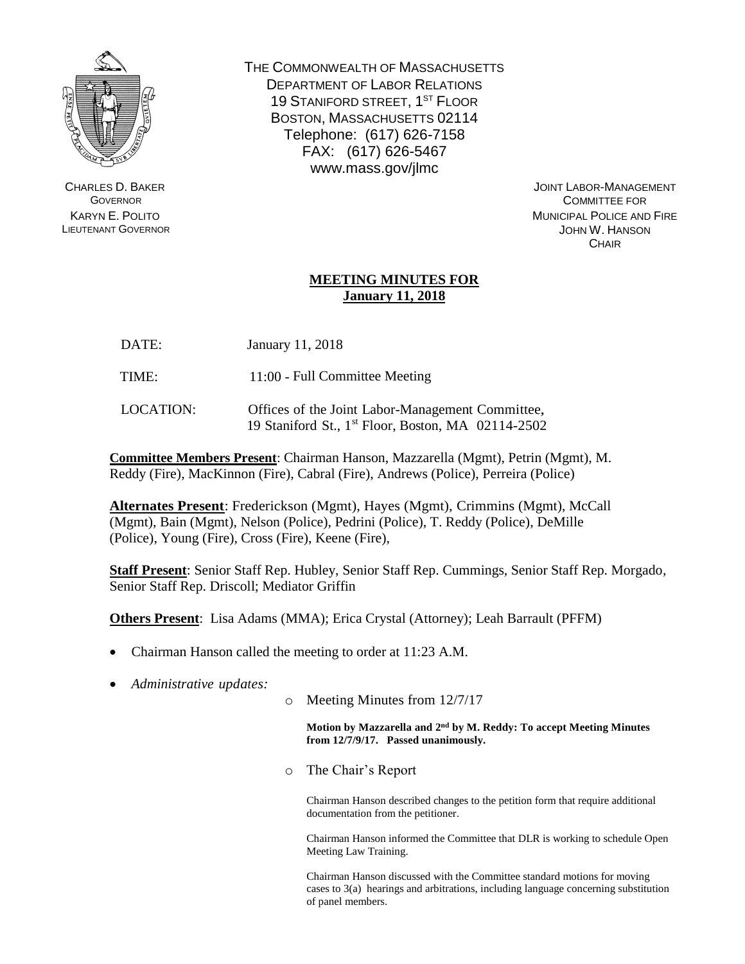

CHARLES D. BAKER **GOVERNOR** KARYN E. POLITO LIEUTENANT GOVERNOR THE COMMONWEALTH OF MASSACHUSETTS DEPARTMENT OF LABOR RELATIONS 19 STANIFORD STREET, 1<sup>ST</sup> FLOOR BOSTON, MASSACHUSETTS 02114 Telephone: (617) 626-7158 FAX: (617) 626-5467 www.mass.gov/jlmc

> JOINT LABOR-MANAGEMENT COMMITTEE FOR MUNICIPAL POLICE AND FIRE JOHN W. HANSON **CHAIR**

## **MEETING MINUTES FOR January 11, 2018**

- DATE: January 11, 2018
- TIME: 11:00 Full Committee Meeting
- LOCATION: Offices of the Joint Labor-Management Committee, 19 Staniford St., 1 st Floor, Boston, MA 02114-2502

**Committee Members Present**: Chairman Hanson, Mazzarella (Mgmt), Petrin (Mgmt), M. Reddy (Fire), MacKinnon (Fire), Cabral (Fire), Andrews (Police), Perreira (Police)

**Alternates Present**: Frederickson (Mgmt), Hayes (Mgmt), Crimmins (Mgmt), McCall (Mgmt), Bain (Mgmt), Nelson (Police), Pedrini (Police), T. Reddy (Police), DeMille (Police), Young (Fire), Cross (Fire), Keene (Fire),

**Staff Present**: Senior Staff Rep. Hubley, Senior Staff Rep. Cummings, Senior Staff Rep. Morgado, Senior Staff Rep. Driscoll; Mediator Griffin

**Others Present**: Lisa Adams (MMA); Erica Crystal (Attorney); Leah Barrault (PFFM)

- Chairman Hanson called the meeting to order at 11:23 A.M.
- *Administrative updates:*
- o Meeting Minutes from 12/7/17

**Motion by Mazzarella and 2nd by M. Reddy: To accept Meeting Minutes from 12/7/9/17. Passed unanimously.**

o The Chair's Report

Chairman Hanson described changes to the petition form that require additional documentation from the petitioner.

Chairman Hanson informed the Committee that DLR is working to schedule Open Meeting Law Training.

Chairman Hanson discussed with the Committee standard motions for moving cases to 3(a) hearings and arbitrations, including language concerning substitution of panel members.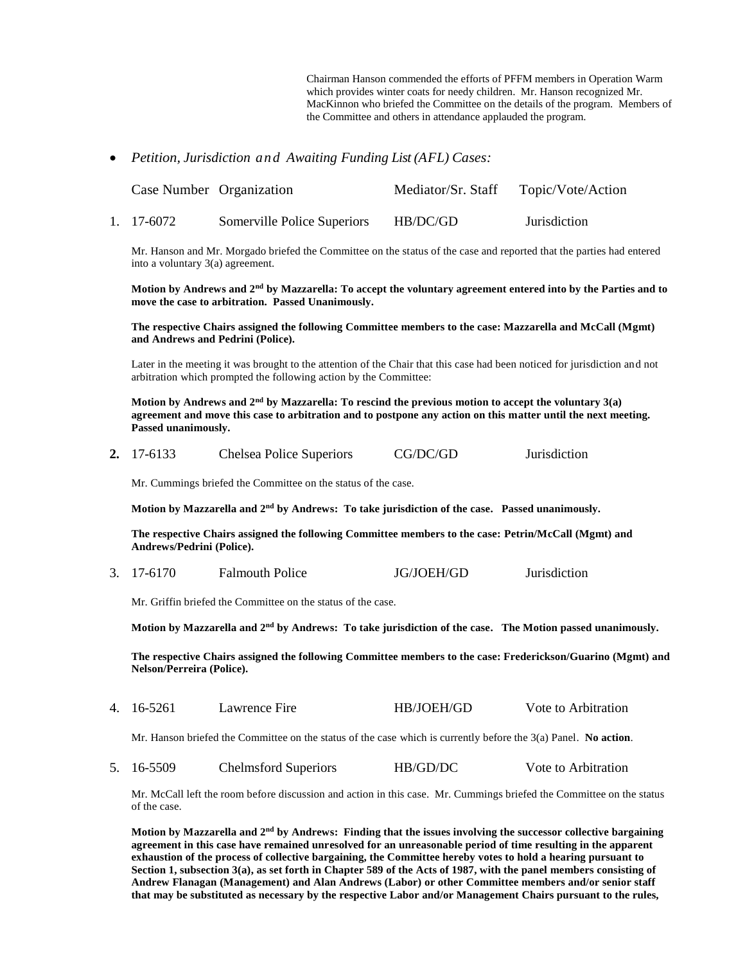Chairman Hanson commended the efforts of PFFM members in Operation Warm which provides winter coats for needy children. Mr. Hanson recognized Mr. MacKinnon who briefed the Committee on the details of the program. Members of the Committee and others in attendance applauded the program.

*Petition, Jurisdiction and Awaiting Funding List (AFL) Cases:*

| Case Number Organization |                             | Mediator/Sr. Staff | Topic/Vote/Action   |
|--------------------------|-----------------------------|--------------------|---------------------|
| 1. 17-6072               | Somerville Police Superiors | HB/DC/GD           | <b>Jurisdiction</b> |

Mr. Hanson and Mr. Morgado briefed the Committee on the status of the case and reported that the parties had entered into a voluntary 3(a) agreement.

## **Motion by Andrews and 2nd by Mazzarella: To accept the voluntary agreement entered into by the Parties and to move the case to arbitration. Passed Unanimously.**

**The respective Chairs assigned the following Committee members to the case: Mazzarella and McCall (Mgmt) and Andrews and Pedrini (Police).**

Later in the meeting it was brought to the attention of the Chair that this case had been noticed for jurisdiction and not arbitration which prompted the following action by the Committee:

**Motion by Andrews and 2nd by Mazzarella: To rescind the previous motion to accept the voluntary 3(a) agreement and move this case to arbitration and to postpone any action on this matter until the next meeting. Passed unanimously.**

| CG/DC/GD<br>2. 17-6133<br>Jurisdiction<br>Chelsea Police Superiors |  |
|--------------------------------------------------------------------|--|
|--------------------------------------------------------------------|--|

Mr. Cummings briefed the Committee on the status of the case.

**Motion by Mazzarella and 2nd by Andrews: To take jurisdiction of the case. Passed unanimously.**

**The respective Chairs assigned the following Committee members to the case: Petrin/McCall (Mgmt) and Andrews/Pedrini (Police).**

3. 17-6170 Falmouth Police JG/JOEH/GD Jurisdiction

Mr. Griffin briefed the Committee on the status of the case.

**Motion by Mazzarella and 2nd by Andrews: To take jurisdiction of the case. The Motion passed unanimously.**

**The respective Chairs assigned the following Committee members to the case: Frederickson/Guarino (Mgmt) and Nelson/Perreira (Police).**

4. 16-5261 Lawrence Fire HB/JOEH/GD Vote to Arbitration

Mr. Hanson briefed the Committee on the status of the case which is currently before the 3(a) Panel. **No action**.

5. 16-5509 Chelmsford Superiors HB/GD/DC Vote to Arbitration

Mr. McCall left the room before discussion and action in this case. Mr. Cummings briefed the Committee on the status of the case.

**Motion by Mazzarella and 2nd by Andrews: Finding that the issues involving the successor collective bargaining agreement in this case have remained unresolved for an unreasonable period of time resulting in the apparent exhaustion of the process of collective bargaining, the Committee hereby votes to hold a hearing pursuant to Section 1, subsection 3(a), as set forth in Chapter 589 of the Acts of 1987, with the panel members consisting of Andrew Flanagan (Management) and Alan Andrews (Labor) or other Committee members and/or senior staff that may be substituted as necessary by the respective Labor and/or Management Chairs pursuant to the rules,**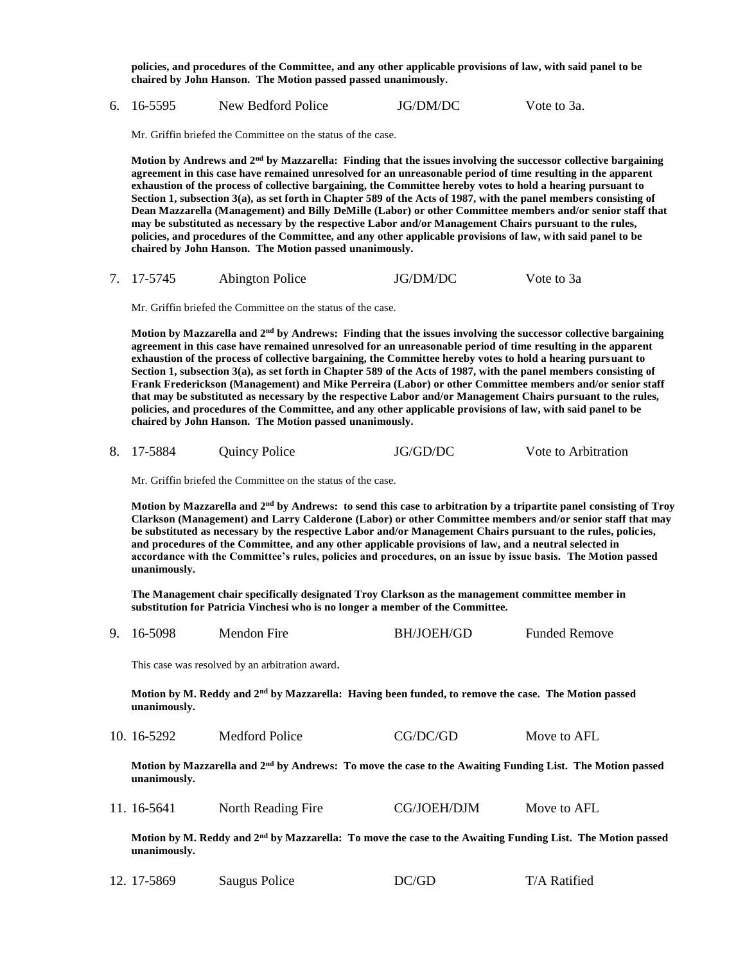**policies, and procedures of the Committee, and any other applicable provisions of law, with said panel to be chaired by John Hanson. The Motion passed passed unanimously.**

6. 16-5595 New Bedford Police JG/DM/DC Vote to 3a.

Mr. Griffin briefed the Committee on the status of the case.

**Motion by Andrews and 2nd by Mazzarella: Finding that the issues involving the successor collective bargaining agreement in this case have remained unresolved for an unreasonable period of time resulting in the apparent exhaustion of the process of collective bargaining, the Committee hereby votes to hold a hearing pursuant to Section 1, subsection 3(a), as set forth in Chapter 589 of the Acts of 1987, with the panel members consisting of Dean Mazzarella (Management) and Billy DeMille (Labor) or other Committee members and/or senior staff that may be substituted as necessary by the respective Labor and/or Management Chairs pursuant to the rules, policies, and procedures of the Committee, and any other applicable provisions of law, with said panel to be chaired by John Hanson. The Motion passed unanimously.**

7. 17-5745 Abington Police JG/DM/DC Vote to 3a

Mr. Griffin briefed the Committee on the status of the case.

**Motion by Mazzarella and 2nd by Andrews: Finding that the issues involving the successor collective bargaining agreement in this case have remained unresolved for an unreasonable period of time resulting in the apparent exhaustion of the process of collective bargaining, the Committee hereby votes to hold a hearing pursuant to Section 1, subsection 3(a), as set forth in Chapter 589 of the Acts of 1987, with the panel members consisting of Frank Frederickson (Management) and Mike Perreira (Labor) or other Committee members and/or senior staff that may be substituted as necessary by the respective Labor and/or Management Chairs pursuant to the rules, policies, and procedures of the Committee, and any other applicable provisions of law, with said panel to be chaired by John Hanson. The Motion passed unanimously.**

8. 17-5884 Ouincy Police JG/GD/DC Vote to Arbitration

Mr. Griffin briefed the Committee on the status of the case.

**Motion by Mazzarella and 2nd by Andrews: to send this case to arbitration by a tripartite panel consisting of Troy Clarkson (Management) and Larry Calderone (Labor) or other Committee members and/or senior staff that may be substituted as necessary by the respective Labor and/or Management Chairs pursuant to the rules, policies, and procedures of the Committee, and any other applicable provisions of law, and a neutral selected in accordance with the Committee's rules, policies and procedures, on an issue by issue basis. The Motion passed unanimously.**

**The Management chair specifically designated Troy Clarkson as the management committee member in substitution for Patricia Vinchesi who is no longer a member of the Committee.**

9. 16-5098 Mendon Fire BH/JOEH/GD Funded Remove

This case was resolved by an arbitration award.

**Motion by M. Reddy and 2nd by Mazzarella: Having been funded, to remove the case. The Motion passed unanimously.**

| 10. 16-5292 | Medford Police | CG/DC/GD | Move to AFL |
|-------------|----------------|----------|-------------|
|             |                |          |             |

**Motion by Mazzarella and 2nd by Andrews: To move the case to the Awaiting Funding List. The Motion passed unanimously.**

| 11. 16-5641 | North Reading Fire | CG/JOEH/DJM | Move to AFL |
|-------------|--------------------|-------------|-------------|
|             |                    |             |             |

**Motion by M. Reddy and 2nd by Mazzarella: To move the case to the Awaiting Funding List. The Motion passed unanimously.**

| 12. 17-5869 | Saugus Police | DC/GD | T/A Ratified |
|-------------|---------------|-------|--------------|
|-------------|---------------|-------|--------------|